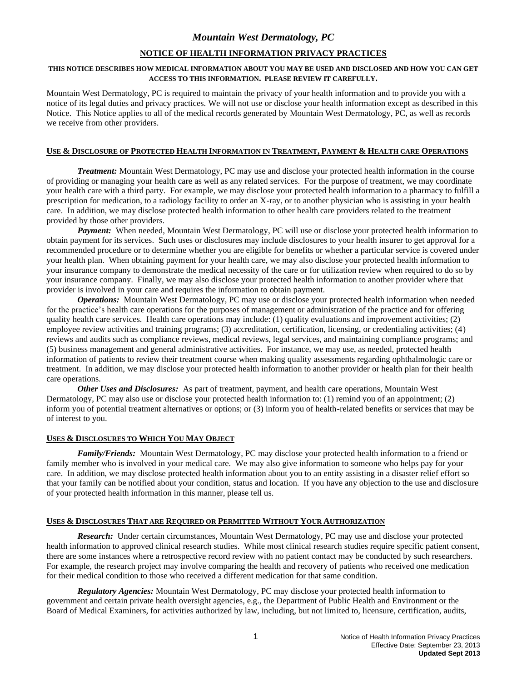# **NOTICE OF HEALTH INFORMATION PRIVACY PRACTICES**

# **THIS NOTICE DESCRIBES HOW MEDICAL INFORMATION ABOUT YOU MAY BE USED AND DISCLOSED AND HOW YOU CAN GET ACCESS TO THIS INFORMATION. PLEASE REVIEW IT CAREFULLY.**

Mountain West Dermatology, PC is required to maintain the privacy of your health information and to provide you with a notice of its legal duties and privacy practices. We will not use or disclose your health information except as described in this Notice. This Notice applies to all of the medical records generated by Mountain West Dermatology, PC, as well as records we receive from other providers.

# USE & DISCLOSURE OF PROTECTED HEALTH INFORMATION IN TREATMENT, PAYMENT & HEALTH CARE OPERATIONS

*Treatment:* Mountain West Dermatology, PC may use and disclose your protected health information in the course of providing or managing your health care as well as any related services. For the purpose of treatment, we may coordinate your health care with a third party. For example, we may disclose your protected health information to a pharmacy to fulfill a prescription for medication, to a radiology facility to order an X-ray, or to another physician who is assisting in your health care. In addition, we may disclose protected health information to other health care providers related to the treatment provided by those other providers.

*Payment:* When needed, Mountain West Dermatology, PC will use or disclose your protected health information to obtain payment for its services. Such uses or disclosures may include disclosures to your health insurer to get approval for a recommended procedure or to determine whether you are eligible for benefits or whether a particular service is covered under your health plan. When obtaining payment for your health care, we may also disclose your protected health information to your insurance company to demonstrate the medical necessity of the care or for utilization review when required to do so by your insurance company. Finally, we may also disclose your protected health information to another provider where that provider is involved in your care and requires the information to obtain payment.

*Operations:* Mountain West Dermatology, PC may use or disclose your protected health information when needed for the practice's health care operations for the purposes of management or administration of the practice and for offering quality health care services. Health care operations may include: (1) quality evaluations and improvement activities; (2) employee review activities and training programs; (3) accreditation, certification, licensing, or credentialing activities; (4) reviews and audits such as compliance reviews, medical reviews, legal services, and maintaining compliance programs; and (5) business management and general administrative activities. For instance, we may use, as needed, protected health information of patients to review their treatment course when making quality assessments regarding ophthalmologic care or treatment. In addition, we may disclose your protected health information to another provider or health plan for their health care operations.

*Other Uses and Disclosures:* As part of treatment, payment, and health care operations, Mountain West Dermatology, PC may also use or disclose your protected health information to: (1) remind you of an appointment; (2) inform you of potential treatment alternatives or options; or (3) inform you of health-related benefits or services that may be of interest to you.

#### **USES & DISCLOSURES TO WHICH YOU MAY OBJECT**

*Family/Friends:* Mountain West Dermatology, PC may disclose your protected health information to a friend or family member who is involved in your medical care. We may also give information to someone who helps pay for your care. In addition, we may disclose protected health information about you to an entity assisting in a disaster relief effort so that your family can be notified about your condition, status and location. If you have any objection to the use and disclosure of your protected health information in this manner, please tell us.

## **USES & DISCLOSURES THAT ARE REQUIRED OR PERMITTED WITHOUT YOUR AUTHORIZATION**

*Research:*Under certain circumstances, Mountain West Dermatology, PC may use and disclose your protected health information to approved clinical research studies. While most clinical research studies require specific patient consent, there are some instances where a retrospective record review with no patient contact may be conducted by such researchers. For example, the research project may involve comparing the health and recovery of patients who received one medication for their medical condition to those who received a different medication for that same condition.

*Regulatory Agencies:* Mountain West Dermatology, PC may disclose your protected health information to government and certain private health oversight agencies, e.g., the Department of Public Health and Environment or the Board of Medical Examiners, for activities authorized by law, including, but not limited to, licensure, certification, audits,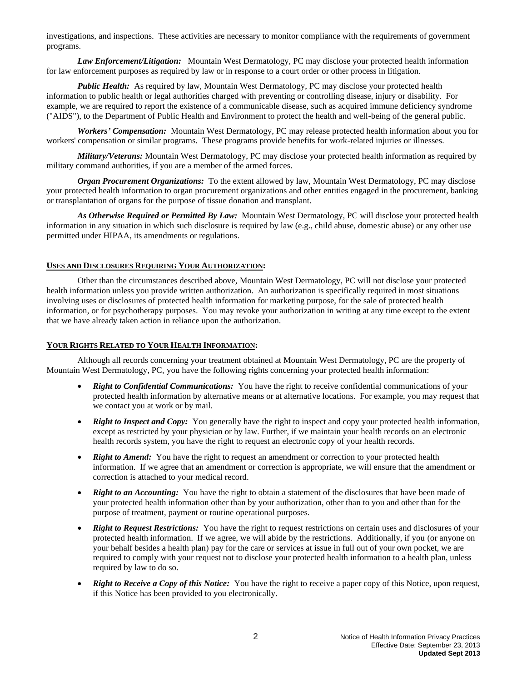investigations, and inspections. These activities are necessary to monitor compliance with the requirements of government programs.

*Law Enforcement/Litigation:*Mountain West Dermatology, PC may disclose your protected health information for law enforcement purposes as required by law or in response to a court order or other process in litigation.

*Public Health:* As required by law, Mountain West Dermatology, PC may disclose your protected health information to public health or legal authorities charged with preventing or controlling disease, injury or disability. For example, we are required to report the existence of a communicable disease, such as acquired immune deficiency syndrome ("AIDS"), to the Department of Public Health and Environment to protect the health and well-being of the general public.

*Workers' Compensation:*Mountain West Dermatology, PC may release protected health information about you for workers' compensation or similar programs. These programs provide benefits for work-related injuries or illnesses.

*Military/Veterans:* Mountain West Dermatology, PC may disclose your protected health information as required by military command authorities, if you are a member of the armed forces.

*Organ Procurement Organizations:*To the extent allowed by law, Mountain West Dermatology, PC may disclose your protected health information to organ procurement organizations and other entities engaged in the procurement, banking or transplantation of organs for the purpose of tissue donation and transplant.

*As Otherwise Required or Permitted By Law:* Mountain West Dermatology, PC will disclose your protected health information in any situation in which such disclosure is required by law (e.g., child abuse, domestic abuse) or any other use permitted under HIPAA, its amendments or regulations.

# **USES AND DISCLOSURES REQUIRING YOUR AUTHORIZATION:**

Other than the circumstances described above, Mountain West Dermatology, PC will not disclose your protected health information unless you provide written authorization. An authorization is specifically required in most situations involving uses or disclosures of protected health information for marketing purpose, for the sale of protected health information, or for psychotherapy purposes. You may revoke your authorization in writing at any time except to the extent that we have already taken action in reliance upon the authorization.

#### **YOUR RIGHTS RELATED TO YOUR HEALTH INFORMATION:**

Although all records concerning your treatment obtained at Mountain West Dermatology, PC are the property of Mountain West Dermatology, PC, you have the following rights concerning your protected health information:

- *Right to Confidential Communications:*You have the right to receive confidential communications of your protected health information by alternative means or at alternative locations. For example, you may request that we contact you at work or by mail.
- *Right to Inspect and Copy:* You generally have the right to inspect and copy your protected health information, except as restricted by your physician or by law. Further, if we maintain your health records on an electronic health records system, you have the right to request an electronic copy of your health records.
- *Right to Amend:* You have the right to request an amendment or correction to your protected health information. If we agree that an amendment or correction is appropriate, we will ensure that the amendment or correction is attached to your medical record.
- *Right to an Accounting:* You have the right to obtain a statement of the disclosures that have been made of your protected health information other than by your authorization, other than to you and other than for the purpose of treatment, payment or routine operational purposes.
- *Right to Request Restrictions:* You have the right to request restrictions on certain uses and disclosures of your protected health information. If we agree, we will abide by the restrictions. Additionally, if you (or anyone on your behalf besides a health plan) pay for the care or services at issue in full out of your own pocket, we are required to comply with your request not to disclose your protected health information to a health plan, unless required by law to do so.
- *Right to Receive a Copy of this Notice:* You have the right to receive a paper copy of this Notice, upon request, if this Notice has been provided to you electronically.